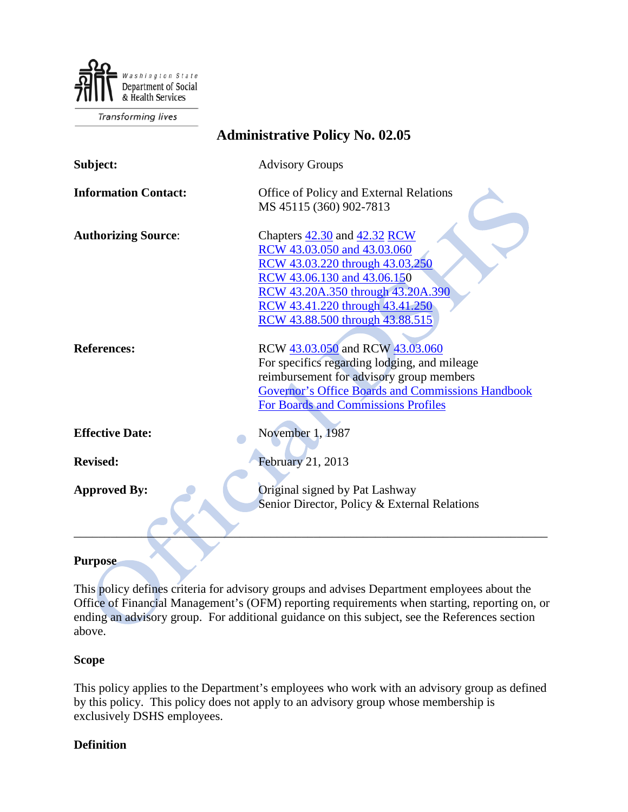

**Transforming lives** 

| <b>Administrative Policy No. 02.05</b> |                                                                                                                                                                                                                                          |
|----------------------------------------|------------------------------------------------------------------------------------------------------------------------------------------------------------------------------------------------------------------------------------------|
| Subject:                               | <b>Advisory Groups</b>                                                                                                                                                                                                                   |
| <b>Information Contact:</b>            | Office of Policy and External Relations<br>MS 45115 (360) 902-7813                                                                                                                                                                       |
| <b>Authorizing Source:</b>             | Chapters 42.30 and 42.32 RCW<br>RCW 43.03.050 and 43.03.060<br>RCW 43.03.220 through 43.03.250<br>RCW 43.06.130 and 43.06.150<br>RCW 43.20A.350 through 43.20A.390<br>RCW 43.41.220 through 43.41.250<br>RCW 43.88.500 through 43.88.515 |
| <b>References:</b>                     | RCW 43.03.050 and RCW 43.03.060<br>For specifics regarding lodging, and mileage<br>reimbursement for advisory group members<br><b>Governor's Office Boards and Commissions Handbook</b><br><b>For Boards and Commissions Profiles</b>    |
| <b>Effective Date:</b>                 | November 1, 1987                                                                                                                                                                                                                         |
| <b>Revised:</b>                        | February 21, 2013                                                                                                                                                                                                                        |
| <b>Approved By:</b>                    | Original signed by Pat Lashway<br>Senior Director, Policy & External Relations                                                                                                                                                           |

#### **Purpose**

This policy defines criteria for advisory groups and advises Department employees about the Office of Financial Management's (OFM) reporting requirements when starting, reporting on, or ending an advisory group. For additional guidance on this subject, see the References section above.

### **Scope**

This policy applies to the Department's employees who work with an advisory group as defined by this policy. This policy does not apply to an advisory group whose membership is exclusively DSHS employees.

### **Definition**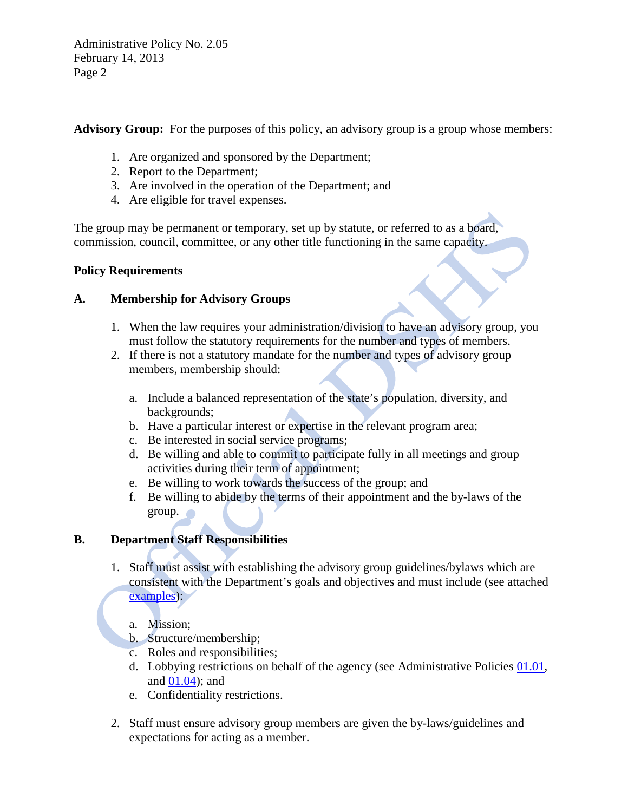Administrative Policy No. 2.05 February 14, 2013 Page 2

Advisory Group: For the purposes of this policy, an advisory group is a group whose members:

- 1. Are organized and sponsored by the Department;
- 2. Report to the Department;
- 3. Are involved in the operation of the Department; and
- 4. Are eligible for travel expenses.

The group may be permanent or temporary, set up by statute, or referred to as a board, commission, council, committee, or any other title functioning in the same capacity.

### **Policy Requirements**

### **A. Membership for Advisory Groups**

- 1. When the law requires your administration/division to have an advisory group, you must follow the statutory requirements for the number and types of members.
- 2. If there is not a statutory mandate for the number and types of advisory group members, membership should:
	- a. Include a balanced representation of the state's population, diversity, and backgrounds;
	- b. Have a particular interest or expertise in the relevant program area;
	- c. Be interested in social service programs;
	- d. Be willing and able to commit to participate fully in all meetings and group activities during their term of appointment;
	- e. Be willing to work towards the success of the group; and
	- f. Be willing to abide by the terms of their appointment and the by-laws of the group.

# **B. Department Staff Responsibilities**

- 1. Staff must assist with establishing the advisory group guidelines/bylaws which are consistent with the Department's goals and objectives and must include (see attached [examples\)](http://asd.dshs.wa.gov/RPAU/documents/Admin-Policy/02-05_examples.doc):
	- a. Mission;
	- b. Structure/membership;
	- c. Roles and responsibilities;
	- d. Lobbying restrictions on behalf of the agency (see Administrative Policies [01.01,](http://one.dshs.wa.lcl/Policies/Administrative/DSHS-AP-01-01.pdf) and [01.04\)](http://one.dshs.wa.lcl/Policies/Administrative/DSHS-AP-01-04.pdf); and
	- e. Confidentiality restrictions.
- 2. Staff must ensure advisory group members are given the by-laws/guidelines and expectations for acting as a member.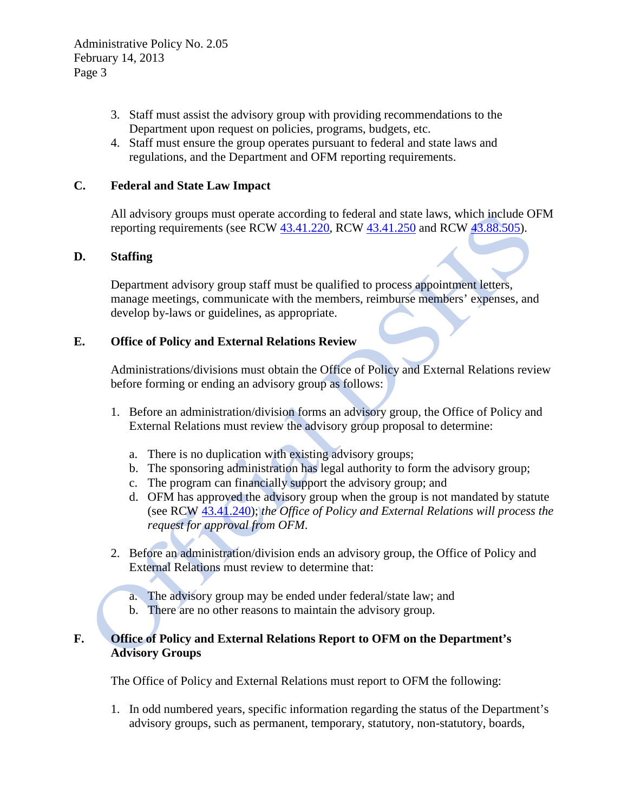- 3. Staff must assist the advisory group with providing recommendations to the Department upon request on policies, programs, budgets, etc.
- 4. Staff must ensure the group operates pursuant to federal and state laws and regulations, and the Department and OFM reporting requirements.

## **C. Federal and State Law Impact**

All advisory groups must operate according to federal and state laws, which include OFM reporting requirements (see RCW [43.41.220,](http://apps.leg.wa.gov/RCW/default.aspx?cite=43.41.220) RCW [43.41.250](http://apps.leg.wa.gov/RCW/default.aspx?cite=43.41.250) and RCW [43.88.505\)](http://apps.leg.wa.gov/RCW/default.aspx?cite=43.88.505).

### **D. Staffing**

Department advisory group staff must be qualified to process appointment letters, manage meetings, communicate with the members, reimburse members' expenses, and develop by-laws or guidelines, as appropriate.

### **E. Office of Policy and External Relations Review**

Administrations/divisions must obtain the Office of Policy and External Relations review before forming or ending an advisory group as follows:

- 1. Before an administration/division forms an advisory group, the Office of Policy and External Relations must review the advisory group proposal to determine:
	- a. There is no duplication with existing advisory groups;
	- b. The sponsoring administration has legal authority to form the advisory group;
	- c. The program can financially support the advisory group; and
	- d. OFM has approved the advisory group when the group is not mandated by statute (see RCW [43.41.240\)](http://apps.leg.wa.gov/RCW/default.aspx?cite=43.41.240); *the Office of Policy and External Relations will process the request for approval from OFM*.
- 2. Before an administration/division ends an advisory group, the Office of Policy and External Relations must review to determine that:
	- a. The advisory group may be ended under federal/state law; and
	- b. There are no other reasons to maintain the advisory group.

# **F. Office of Policy and External Relations Report to OFM on the Department's Advisory Groups**

The Office of Policy and External Relations must report to OFM the following:

1. In odd numbered years, specific information regarding the status of the Department's advisory groups, such as permanent, temporary, statutory, non-statutory, boards,